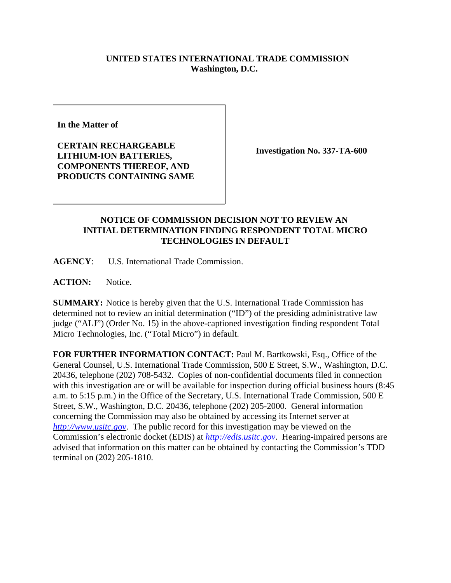## **UNITED STATES INTERNATIONAL TRADE COMMISSION Washington, D.C.**

**In the Matter of** 

**CERTAIN RECHARGEABLE LITHIUM-ION BATTERIES, COMPONENTS THEREOF, AND PRODUCTS CONTAINING SAME**

**Investigation No. 337-TA-600**

## **NOTICE OF COMMISSION DECISION NOT TO REVIEW AN INITIAL DETERMINATION FINDING RESPONDENT TOTAL MICRO TECHNOLOGIES IN DEFAULT**

**AGENCY**: U.S. International Trade Commission.

**ACTION:** Notice.

**SUMMARY:** Notice is hereby given that the U.S. International Trade Commission has determined not to review an initial determination ("ID") of the presiding administrative law judge ("ALJ") (Order No. 15) in the above-captioned investigation finding respondent Total Micro Technologies, Inc. ("Total Micro") in default.

**FOR FURTHER INFORMATION CONTACT:** Paul M. Bartkowski, Esq., Office of the General Counsel, U.S. International Trade Commission, 500 E Street, S.W., Washington, D.C. 20436, telephone (202) 708-5432. Copies of non-confidential documents filed in connection with this investigation are or will be available for inspection during official business hours (8:45 a.m. to 5:15 p.m.) in the Office of the Secretary, U.S. International Trade Commission, 500 E Street, S.W., Washington, D.C. 20436, telephone (202) 205-2000. General information concerning the Commission may also be obtained by accessing its Internet server at *http://www.usitc.gov*. The public record for this investigation may be viewed on the Commission's electronic docket (EDIS) at *http://edis.usitc.gov*. Hearing-impaired persons are advised that information on this matter can be obtained by contacting the Commission's TDD terminal on (202) 205-1810.